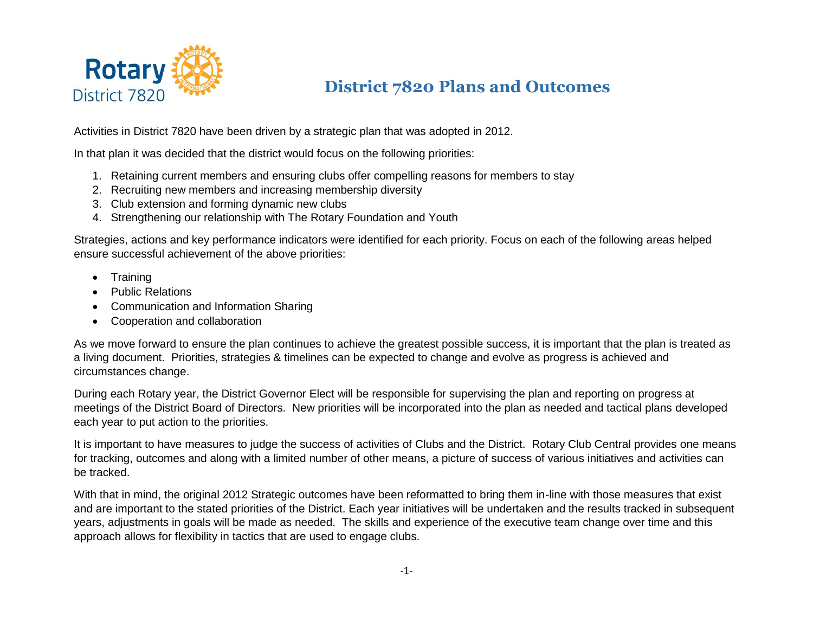

Activities in District 7820 have been driven by a strategic plan that was adopted in 2012.

In that plan it was decided that the district would focus on the following priorities:

- 1. Retaining current members and ensuring clubs offer compelling reasons for members to stay
- 2. Recruiting new members and increasing membership diversity
- 3. Club extension and forming dynamic new clubs
- 4. Strengthening our relationship with The Rotary Foundation and Youth

Strategies, actions and key performance indicators were identified for each priority. Focus on each of the following areas helped ensure successful achievement of the above priorities:

- Training
- Public Relations
- Communication and Information Sharing
- Cooperation and collaboration

As we move forward to ensure the plan continues to achieve the greatest possible success, it is important that the plan is treated as a living document. Priorities, strategies & timelines can be expected to change and evolve as progress is achieved and circumstances change.

During each Rotary year, the District Governor Elect will be responsible for supervising the plan and reporting on progress at meetings of the District Board of Directors. New priorities will be incorporated into the plan as needed and tactical plans developed each year to put action to the priorities.

It is important to have measures to judge the success of activities of Clubs and the District. Rotary Club Central provides one means for tracking, outcomes and along with a limited number of other means, a picture of success of various initiatives and activities can be tracked.

With that in mind, the original 2012 Strategic outcomes have been reformatted to bring them in-line with those measures that exist and are important to the stated priorities of the District. Each year initiatives will be undertaken and the results tracked in subsequent years, adjustments in goals will be made as needed. The skills and experience of the executive team change over time and this approach allows for flexibility in tactics that are used to engage clubs.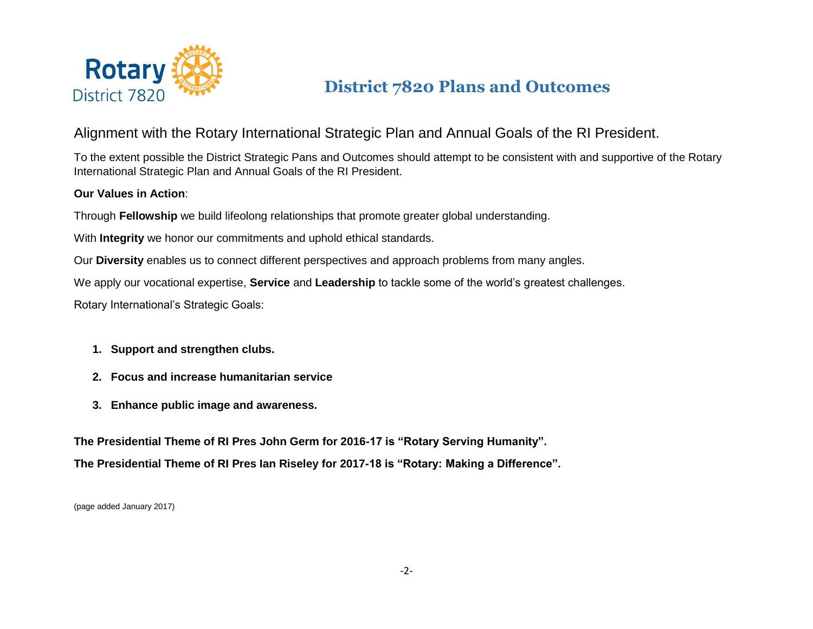

#### Alignment with the Rotary International Strategic Plan and Annual Goals of the RI President.

To the extent possible the District Strategic Pans and Outcomes should attempt to be consistent with and supportive of the Rotary International Strategic Plan and Annual Goals of the RI President.

#### **Our Values in Action**:

Through **Fellowship** we build lifeolong relationships that promote greater global understanding.

With **Integrity** we honor our commitments and uphold ethical standards.

Our **Diversity** enables us to connect different perspectives and approach problems from many angles.

We apply our vocational expertise, **Service** and **Leadership** to tackle some of the world's greatest challenges.

Rotary International's Strategic Goals:

- **1. Support and strengthen clubs.**
- **2. Focus and increase humanitarian service**
- **3. Enhance public image and awareness.**

**The Presidential Theme of RI Pres John Germ for 2016-17 is "Rotary Serving Humanity". The Presidential Theme of RI Pres Ian Riseley for 2017-18 is "Rotary: Making a Difference".**

(page added January 2017)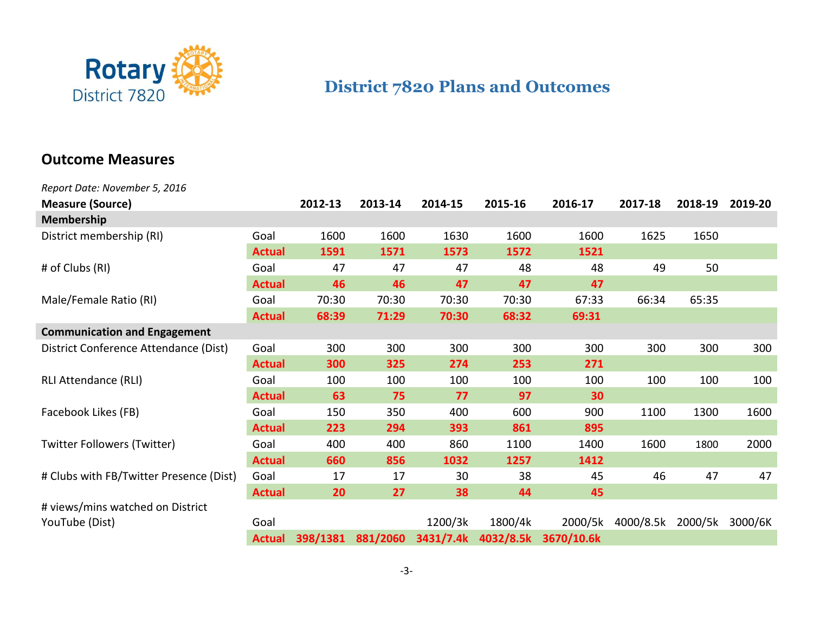

#### **Outcome Measures**

| Report Date: November 5, 2016           |               |          |          |           |           |            |           |         |         |
|-----------------------------------------|---------------|----------|----------|-----------|-----------|------------|-----------|---------|---------|
| <b>Measure (Source)</b>                 |               | 2012-13  | 2013-14  | 2014-15   | 2015-16   | 2016-17    | 2017-18   | 2018-19 | 2019-20 |
| Membership                              |               |          |          |           |           |            |           |         |         |
| District membership (RI)                | Goal          | 1600     | 1600     | 1630      | 1600      | 1600       | 1625      | 1650    |         |
|                                         | <b>Actual</b> | 1591     | 1571     | 1573      | 1572      | 1521       |           |         |         |
| # of Clubs (RI)                         | Goal          | 47       | 47       | 47        | 48        | 48         | 49        | 50      |         |
|                                         | <b>Actual</b> | 46       | 46       | 47        | 47        | 47         |           |         |         |
| Male/Female Ratio (RI)                  | Goal          | 70:30    | 70:30    | 70:30     | 70:30     | 67:33      | 66:34     | 65:35   |         |
|                                         | <b>Actual</b> | 68:39    | 71:29    | 70:30     | 68:32     | 69:31      |           |         |         |
| <b>Communication and Engagement</b>     |               |          |          |           |           |            |           |         |         |
| District Conference Attendance (Dist)   | Goal          | 300      | 300      | 300       | 300       | 300        | 300       | 300     | 300     |
|                                         | <b>Actual</b> | 300      | 325      | 274       | 253       | 271        |           |         |         |
| <b>RLI Attendance (RLI)</b>             | Goal          | 100      | 100      | 100       | 100       | 100        | 100       | 100     | 100     |
|                                         | <b>Actual</b> | 63       | 75       | 77        | 97        | 30         |           |         |         |
| Facebook Likes (FB)                     | Goal          | 150      | 350      | 400       | 600       | 900        | 1100      | 1300    | 1600    |
|                                         | <b>Actual</b> | 223      | 294      | 393       | 861       | 895        |           |         |         |
| <b>Twitter Followers (Twitter)</b>      | Goal          | 400      | 400      | 860       | 1100      | 1400       | 1600      | 1800    | 2000    |
|                                         | <b>Actual</b> | 660      | 856      | 1032      | 1257      | 1412       |           |         |         |
| # Clubs with FB/Twitter Presence (Dist) | Goal          | 17       | 17       | 30        | 38        | 45         | 46        | 47      | 47      |
|                                         | <b>Actual</b> | 20       | 27       | 38        | 44        | 45         |           |         |         |
| # views/mins watched on District        |               |          |          |           |           |            |           |         |         |
| YouTube (Dist)                          | Goal          |          |          | 1200/3k   | 1800/4k   | 2000/5k    | 4000/8.5k | 2000/5k | 3000/6K |
|                                         | <b>Actual</b> | 398/1381 | 881/2060 | 3431/7.4k | 4032/8.5k | 3670/10.6k |           |         |         |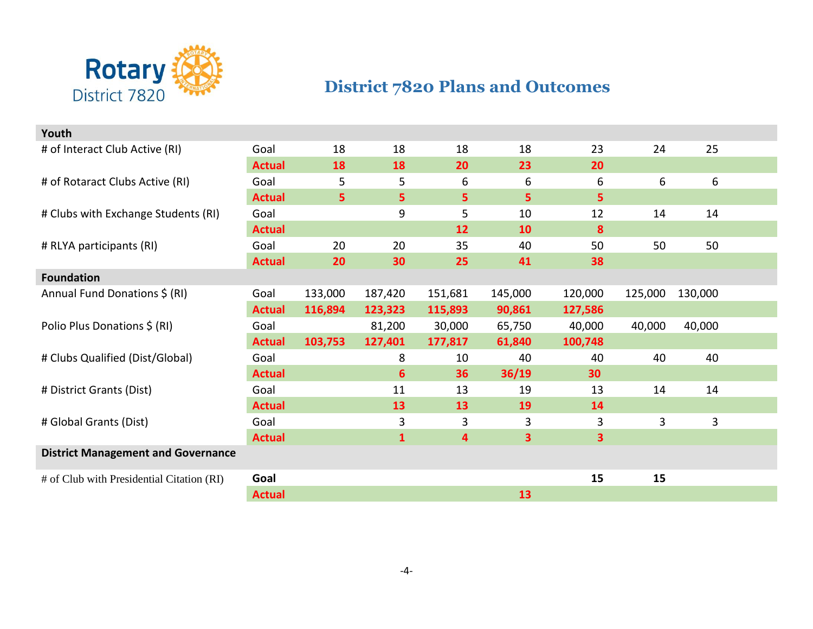

| Youth                                     |               |                |              |                         |                         |                         |         |         |  |
|-------------------------------------------|---------------|----------------|--------------|-------------------------|-------------------------|-------------------------|---------|---------|--|
| # of Interact Club Active (RI)            | Goal          | 18             | 18           | 18                      | 18                      | 23                      | 24      | 25      |  |
|                                           | <b>Actual</b> | 18             | <b>18</b>    | 20                      | 23                      | 20                      |         |         |  |
| # of Rotaract Clubs Active (RI)           | Goal          | 5              | 5            | 6                       | 6                       | 6                       | 6       | 6       |  |
|                                           | <b>Actual</b> | 5 <sup>1</sup> | 5            | 5                       | 5                       | 5                       |         |         |  |
| # Clubs with Exchange Students (RI)       | Goal          |                | 9            | 5                       | 10                      | 12                      | 14      | 14      |  |
|                                           | <b>Actual</b> |                |              | 12                      | 10                      | 8                       |         |         |  |
| # RLYA participants (RI)                  | Goal          | 20             | 20           | 35                      | 40                      | 50                      | 50      | 50      |  |
|                                           | <b>Actual</b> | 20             | 30           | 25                      | 41                      | 38                      |         |         |  |
| <b>Foundation</b>                         |               |                |              |                         |                         |                         |         |         |  |
| Annual Fund Donations \$ (RI)             | Goal          | 133,000        | 187,420      | 151,681                 | 145,000                 | 120,000                 | 125,000 | 130,000 |  |
|                                           | <b>Actual</b> | 116,894        | 123,323      | 115,893                 | 90,861                  | 127,586                 |         |         |  |
| Polio Plus Donations \$ (RI)              | Goal          |                | 81,200       | 30,000                  | 65,750                  | 40,000                  | 40,000  | 40,000  |  |
|                                           | <b>Actual</b> | 103,753        | 127,401      | 177,817                 | 61,840                  | 100,748                 |         |         |  |
| # Clubs Qualified (Dist/Global)           | Goal          |                | 8            | 10                      | 40                      | 40                      | 40      | 40      |  |
|                                           | <b>Actual</b> |                | 6            | 36                      | 36/19                   | 30                      |         |         |  |
| # District Grants (Dist)                  | Goal          |                | 11           | 13                      | 19                      | 13                      | 14      | 14      |  |
|                                           | <b>Actual</b> |                | 13           | 13                      | 19                      | 14                      |         |         |  |
| # Global Grants (Dist)                    | Goal          |                | 3            | 3                       | 3                       | 3                       | 3       | 3       |  |
|                                           | <b>Actual</b> |                | $\mathbf{1}$ | $\overline{\mathbf{4}}$ | $\overline{\mathbf{3}}$ | $\overline{\mathbf{3}}$ |         |         |  |
| <b>District Management and Governance</b> |               |                |              |                         |                         |                         |         |         |  |
| # of Club with Presidential Citation (RI) | Goal          |                |              |                         |                         | 15                      | 15      |         |  |
|                                           | <b>Actual</b> |                |              |                         | 13                      |                         |         |         |  |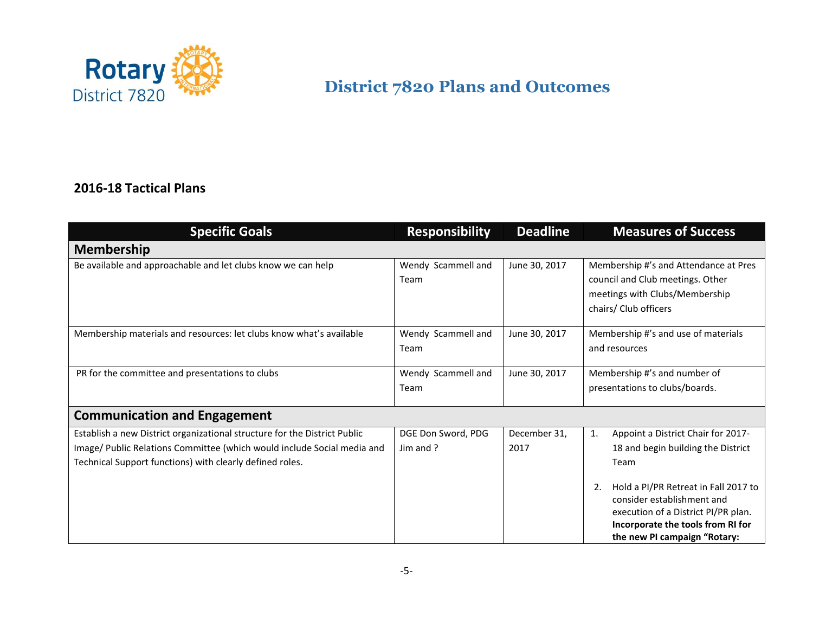

#### **2016-18 Tactical Plans**

| <b>Specific Goals</b>                                                                                                                                                                                            | <b>Responsibility</b>           | <b>Deadline</b>      | <b>Measures of Success</b>                                                                                                                                                                                                                                                     |
|------------------------------------------------------------------------------------------------------------------------------------------------------------------------------------------------------------------|---------------------------------|----------------------|--------------------------------------------------------------------------------------------------------------------------------------------------------------------------------------------------------------------------------------------------------------------------------|
| <b>Membership</b>                                                                                                                                                                                                |                                 |                      |                                                                                                                                                                                                                                                                                |
| Be available and approachable and let clubs know we can help                                                                                                                                                     | Wendy Scammell and<br>Team      | June 30, 2017        | Membership #'s and Attendance at Pres<br>council and Club meetings. Other<br>meetings with Clubs/Membership<br>chairs/ Club officers                                                                                                                                           |
| Membership materials and resources: let clubs know what's available                                                                                                                                              | Wendy Scammell and<br>Team      | June 30, 2017        | Membership #'s and use of materials<br>and resources                                                                                                                                                                                                                           |
| PR for the committee and presentations to clubs                                                                                                                                                                  | Wendy Scammell and<br>Team      | June 30, 2017        | Membership #'s and number of<br>presentations to clubs/boards.                                                                                                                                                                                                                 |
| <b>Communication and Engagement</b>                                                                                                                                                                              |                                 |                      |                                                                                                                                                                                                                                                                                |
| Establish a new District organizational structure for the District Public<br>Image/ Public Relations Committee (which would include Social media and<br>Technical Support functions) with clearly defined roles. | DGE Don Sword, PDG<br>Jim and ? | December 31,<br>2017 | 1.<br>Appoint a District Chair for 2017-<br>18 and begin building the District<br>Team<br>Hold a PI/PR Retreat in Fall 2017 to<br>2.<br>consider establishment and<br>execution of a District PI/PR plan.<br>Incorporate the tools from RI for<br>the new PI campaign "Rotary: |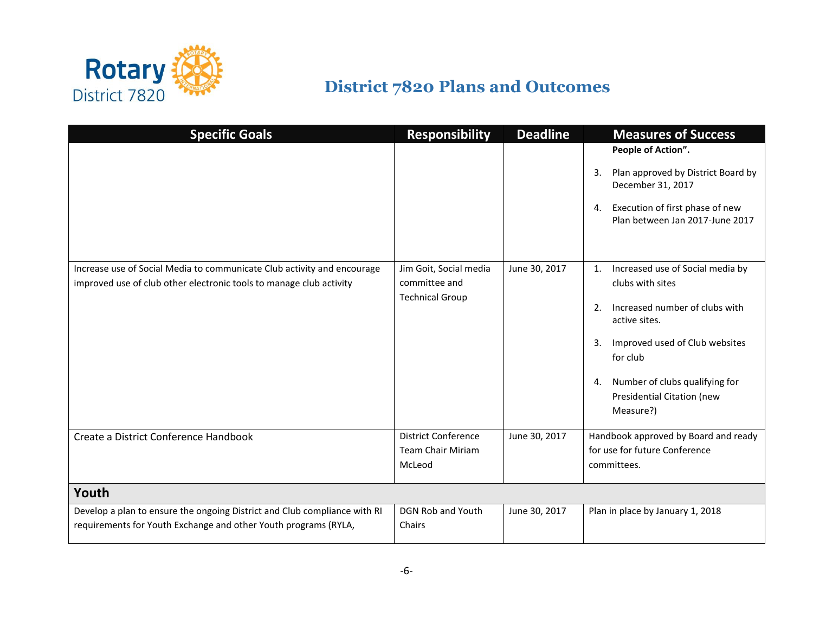

| <b>Specific Goals</b>                                                                                                                          | <b>Responsibility</b>                                             | <b>Deadline</b> | <b>Measures of Success</b>                                                                                                                                                                                                                           |
|------------------------------------------------------------------------------------------------------------------------------------------------|-------------------------------------------------------------------|-----------------|------------------------------------------------------------------------------------------------------------------------------------------------------------------------------------------------------------------------------------------------------|
|                                                                                                                                                |                                                                   |                 | People of Action".<br>Plan approved by District Board by<br>3.<br>December 31, 2017<br>Execution of first phase of new<br>4.<br>Plan between Jan 2017-June 2017                                                                                      |
| Increase use of Social Media to communicate Club activity and encourage<br>improved use of club other electronic tools to manage club activity | Jim Goit, Social media<br>committee and<br><b>Technical Group</b> | June 30, 2017   | 1. Increased use of Social media by<br>clubs with sites<br>Increased number of clubs with<br>2.<br>active sites.<br>Improved used of Club websites<br>3.<br>for club<br>4. Number of clubs qualifying for<br>Presidential Citation (new<br>Measure?) |
| Create a District Conference Handbook                                                                                                          | <b>District Conference</b><br><b>Team Chair Miriam</b><br>McLeod  | June 30, 2017   | Handbook approved by Board and ready<br>for use for future Conference<br>committees.                                                                                                                                                                 |
| Youth                                                                                                                                          |                                                                   |                 |                                                                                                                                                                                                                                                      |
| Develop a plan to ensure the ongoing District and Club compliance with RI<br>requirements for Youth Exchange and other Youth programs (RYLA,   | <b>DGN Rob and Youth</b><br>Chairs                                | June 30, 2017   | Plan in place by January 1, 2018                                                                                                                                                                                                                     |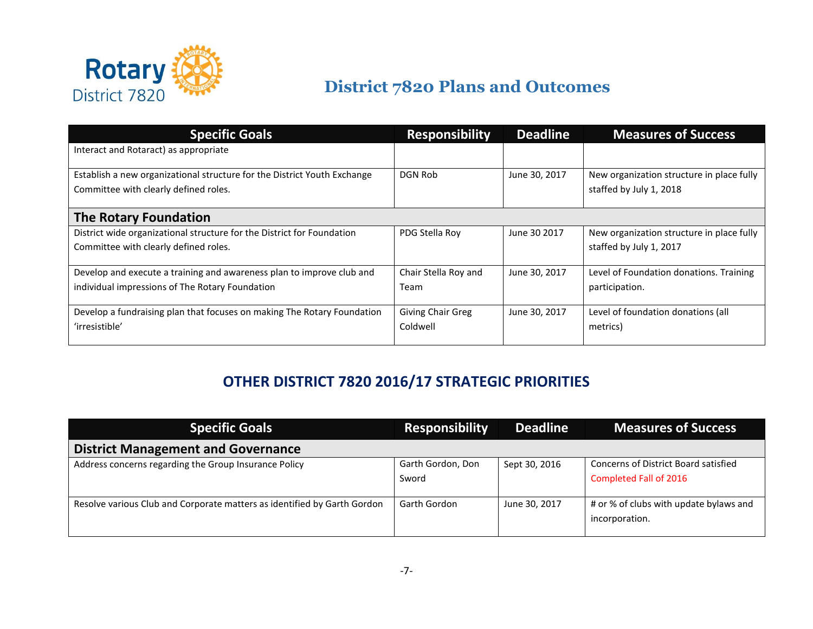

| <b>Specific Goals</b>                                                                                             | <b>Responsibility</b> | <b>Deadline</b> | <b>Measures of Success</b>                                           |
|-------------------------------------------------------------------------------------------------------------------|-----------------------|-----------------|----------------------------------------------------------------------|
| Interact and Rotaract) as appropriate                                                                             |                       |                 |                                                                      |
| Establish a new organizational structure for the District Youth Exchange<br>Committee with clearly defined roles. | DGN Rob               | June 30, 2017   | New organization structure in place fully<br>staffed by July 1, 2018 |
| <b>The Rotary Foundation</b>                                                                                      |                       |                 |                                                                      |
| District wide organizational structure for the District for Foundation                                            | PDG Stella Roy        | June 30 2017    | New organization structure in place fully                            |
| Committee with clearly defined roles.                                                                             |                       |                 | staffed by July 1, 2017                                              |
| Develop and execute a training and awareness plan to improve club and                                             | Chair Stella Roy and  | June 30, 2017   | Level of Foundation donations. Training                              |
| individual impressions of The Rotary Foundation                                                                   | Team                  |                 | participation.                                                       |
| Develop a fundraising plan that focuses on making The Rotary Foundation                                           | Giving Chair Greg     | June 30, 2017   | Level of foundation donations (all                                   |
| 'irresistible'                                                                                                    | Coldwell              |                 | metrics)                                                             |
|                                                                                                                   |                       |                 |                                                                      |

#### **OTHER DISTRICT 7820 2016/17 STRATEGIC PRIORITIES**

| <b>Specific Goals</b>                                                    | <b>Responsibility</b>      | <b>Deadline</b> | <b>Measures of Success</b>                                     |
|--------------------------------------------------------------------------|----------------------------|-----------------|----------------------------------------------------------------|
| <b>District Management and Governance</b>                                |                            |                 |                                                                |
| Address concerns regarding the Group Insurance Policy                    | Garth Gordon, Don<br>Sword | Sept 30, 2016   | Concerns of District Board satisfied<br>Completed Fall of 2016 |
| Resolve various Club and Corporate matters as identified by Garth Gordon | Garth Gordon               | June 30, 2017   | # or % of clubs with update bylaws and<br>incorporation.       |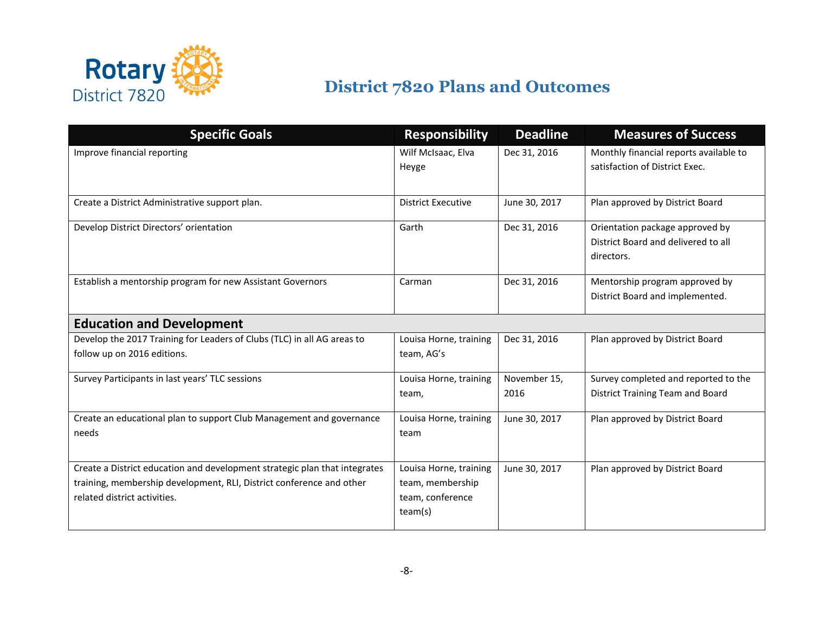

| <b>Specific Goals</b>                                                                                                                                                              | <b>Responsibility</b>                                                     | <b>Deadline</b>      | <b>Measures of Success</b>                                                           |
|------------------------------------------------------------------------------------------------------------------------------------------------------------------------------------|---------------------------------------------------------------------------|----------------------|--------------------------------------------------------------------------------------|
| Improve financial reporting                                                                                                                                                        | Wilf McIsaac, Elva<br>Heyge                                               | Dec 31, 2016         | Monthly financial reports available to<br>satisfaction of District Exec.             |
| Create a District Administrative support plan.                                                                                                                                     | <b>District Executive</b>                                                 | June 30, 2017        | Plan approved by District Board                                                      |
| Develop District Directors' orientation                                                                                                                                            | Garth                                                                     | Dec 31, 2016         | Orientation package approved by<br>District Board and delivered to all<br>directors. |
| Establish a mentorship program for new Assistant Governors                                                                                                                         | Carman                                                                    | Dec 31, 2016         | Mentorship program approved by<br>District Board and implemented.                    |
| <b>Education and Development</b>                                                                                                                                                   |                                                                           |                      |                                                                                      |
| Develop the 2017 Training for Leaders of Clubs (TLC) in all AG areas to<br>follow up on 2016 editions.                                                                             | Louisa Horne, training<br>team, AG's                                      | Dec 31, 2016         | Plan approved by District Board                                                      |
| Survey Participants in last years' TLC sessions                                                                                                                                    | Louisa Horne, training<br>team,                                           | November 15,<br>2016 | Survey completed and reported to the<br><b>District Training Team and Board</b>      |
| Create an educational plan to support Club Management and governance<br>needs                                                                                                      | Louisa Horne, training<br>team                                            | June 30, 2017        | Plan approved by District Board                                                      |
| Create a District education and development strategic plan that integrates<br>training, membership development, RLI, District conference and other<br>related district activities. | Louisa Horne, training<br>team, membership<br>team, conference<br>team(s) | June 30, 2017        | Plan approved by District Board                                                      |